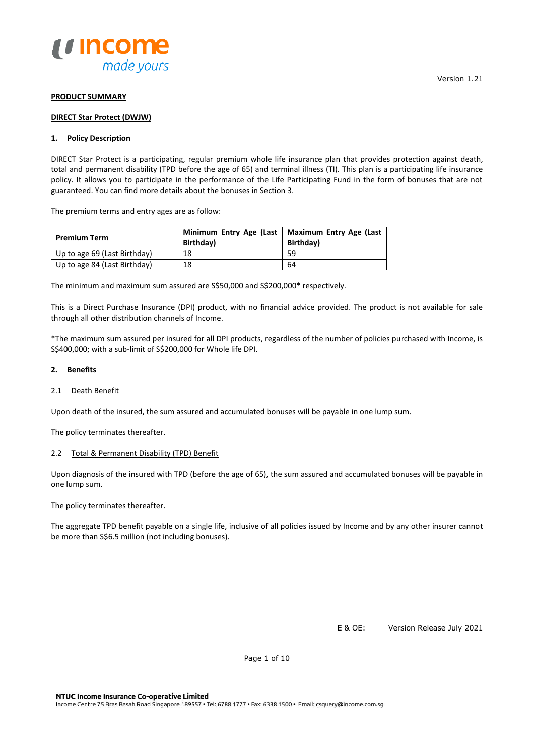

#### **PRODUCT SUMMARY**

#### **DIRECT Star Protect (DWJW)**

# **1. Policy Description**

DIRECT Star Protect is a participating, regular premium whole life insurance plan that provides protection against death, total and permanent disability (TPD before the age of 65) and terminal illness (TI). This plan is a participating life insurance policy. It allows you to participate in the performance of the Life Participating Fund in the form of bonuses that are not guaranteed. You can find more details about the bonuses in Section 3.

The premium terms and entry ages are as follow:

| <b>Premium Term</b>          | Birthday) | Minimum Entry Age (Last   Maximum Entry Age (Last<br>Birthday) |
|------------------------------|-----------|----------------------------------------------------------------|
| Up to age 69 (Last Birthday) | 18        | 59                                                             |
| Up to age 84 (Last Birthday) | 18        | 64                                                             |

The minimum and maximum sum assured are S\$50,000 and S\$200,000\* respectively.

This is a Direct Purchase Insurance (DPI) product, with no financial advice provided. The product is not available for sale through all other distribution channels of Income.

\*The maximum sum assured per insured for all DPI products, regardless of the number of policies purchased with Income, is S\$400,000; with a sub-limit of S\$200,000 for Whole life DPI.

#### **2. Benefits**

# 2.1 Death Benefit

Upon death of the insured, the sum assured and accumulated bonuses will be payable in one lump sum.

The policy terminates thereafter.

# 2.2 Total & Permanent Disability (TPD) Benefit

Upon diagnosis of the insured with TPD (before the age of 65), the sum assured and accumulated bonuses will be payable in one lump sum.

The policy terminates thereafter.

The aggregate TPD benefit payable on a single life, inclusive of all policies issued by Income and by any other insurer cannot be more than S\$6.5 million (not including bonuses).

E & OE: Version Release July 2021

Page 1 of 10

Version 1.21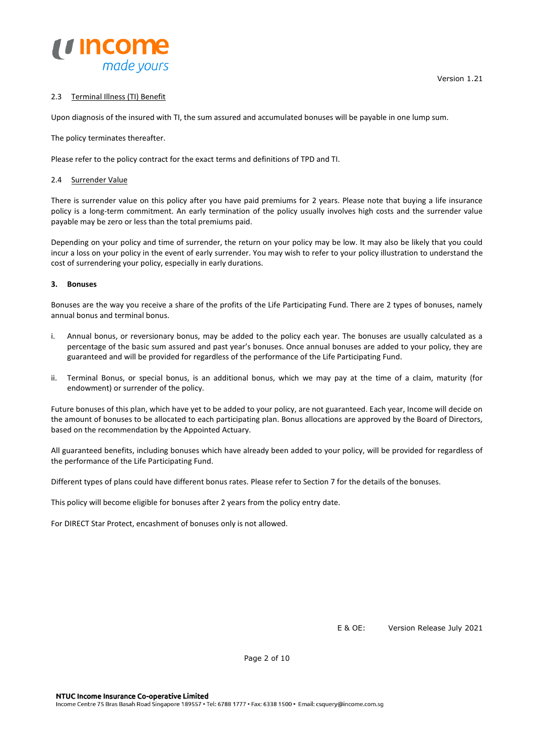

Upon diagnosis of the insured with TI, the sum assured and accumulated bonuses will be payable in one lump sum.

The policy terminates thereafter.

Please refer to the policy contract for the exact terms and definitions of TPD and TI.

# 2.4 Surrender Value

There is surrender value on this policy after you have paid premiums for 2 years. Please note that buying a life insurance policy is a long-term commitment. An early termination of the policy usually involves high costs and the surrender value payable may be zero or less than the total premiums paid.

Depending on your policy and time of surrender, the return on your policy may be low. It may also be likely that you could incur a loss on your policy in the event of early surrender. You may wish to refer to your policy illustration to understand the cost of surrendering your policy, especially in early durations.

# **3. Bonuses**

Bonuses are the way you receive a share of the profits of the Life Participating Fund. There are 2 types of bonuses, namely annual bonus and terminal bonus.

- i. Annual bonus, or reversionary bonus, may be added to the policy each year. The bonuses are usually calculated as a percentage of the basic sum assured and past year's bonuses. Once annual bonuses are added to your policy, they are guaranteed and will be provided for regardless of the performance of the Life Participating Fund.
- ii. Terminal Bonus, or special bonus, is an additional bonus, which we may pay at the time of a claim, maturity (for endowment) or surrender of the policy.

Future bonuses of this plan, which have yet to be added to your policy, are not guaranteed. Each year, Income will decide on the amount of bonuses to be allocated to each participating plan. Bonus allocations are approved by the Board of Directors, based on the recommendation by the Appointed Actuary.

All guaranteed benefits, including bonuses which have already been added to your policy, will be provided for regardless of the performance of the Life Participating Fund.

Different types of plans could have different bonus rates. Please refer to Section 7 for the details of the bonuses.

This policy will become eligible for bonuses after 2 years from the policy entry date.

For DIRECT Star Protect, encashment of bonuses only is not allowed.

E & OE: Version Release July 2021

Page 2 of 10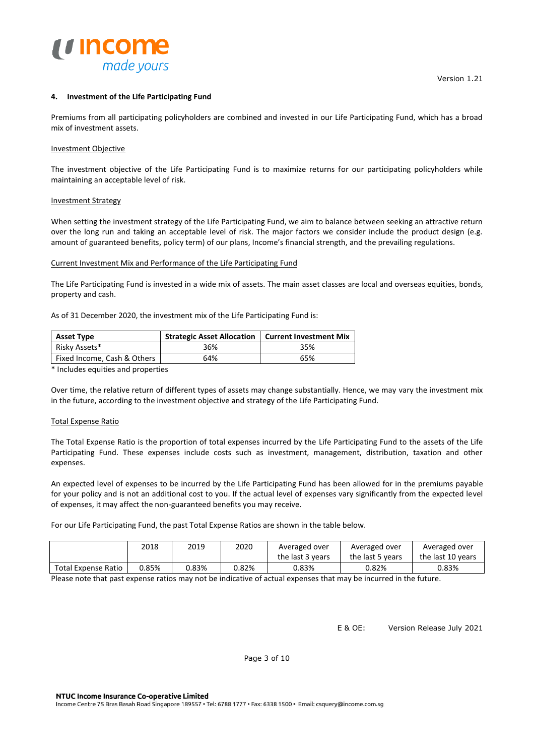

#### **4. Investment of the Life Participating Fund**

Premiums from all participating policyholders are combined and invested in our Life Participating Fund, which has a broad mix of investment assets.

#### Investment Objective

The investment objective of the Life Participating Fund is to maximize returns for our participating policyholders while maintaining an acceptable level of risk.

#### Investment Strategy

When setting the investment strategy of the Life Participating Fund, we aim to balance between seeking an attractive return over the long run and taking an acceptable level of risk. The major factors we consider include the product design (e.g. amount of guaranteed benefits, policy term) of our plans, Income's financial strength, and the prevailing regulations.

#### Current Investment Mix and Performance of the Life Participating Fund

The Life Participating Fund is invested in a wide mix of assets. The main asset classes are local and overseas equities, bonds, property and cash.

As of 31 December 2020, the investment mix of the Life Participating Fund is:

| <b>Asset Type</b>           | Strategic Asset Allocation   Current Investment Mix |     |
|-----------------------------|-----------------------------------------------------|-----|
| Risky Assets*               | 36%                                                 | 35% |
| Fixed Income, Cash & Others | 64%                                                 | 65% |

\* Includes equities and properties

Over time, the relative return of different types of assets may change substantially. Hence, we may vary the investment mix in the future, according to the investment objective and strategy of the Life Participating Fund.

# Total Expense Ratio

The Total Expense Ratio is the proportion of total expenses incurred by the Life Participating Fund to the assets of the Life Participating Fund. These expenses include costs such as investment, management, distribution, taxation and other expenses.

An expected level of expenses to be incurred by the Life Participating Fund has been allowed for in the premiums payable for your policy and is not an additional cost to you. If the actual level of expenses vary significantly from the expected level of expenses, it may affect the non-guaranteed benefits you may receive.

For our Life Participating Fund, the past Total Expense Ratios are shown in the table below.

|                     | 2018  | 2019  | 2020  | Averaged over    | Averaged over    | Averaged over     |
|---------------------|-------|-------|-------|------------------|------------------|-------------------|
|                     |       |       |       | the last 3 years | the last 5 years | the last 10 years |
| Total Expense Ratio | 0.85% | J.83% | J.82% | 0.83%            | 0.82%            | 0.83%             |

Please note that past expense ratios may not be indicative of actual expenses that may be incurred in the future.

E & OE: Version Release July 2021

Page 3 of 10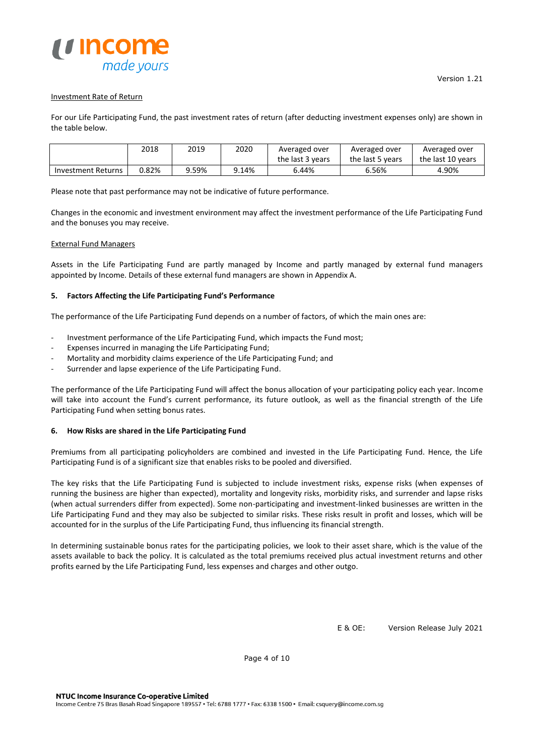

# Investment Rate of Return

For our Life Participating Fund, the past investment rates of return (after deducting investment expenses only) are shown in the table below.

|                           | 2018  | 2019  | 2020  | Averaged over    | Averaged over    | Averaged over     |
|---------------------------|-------|-------|-------|------------------|------------------|-------------------|
|                           |       |       |       | the last 3 years | the last 5 years | the last 10 years |
| <b>Investment Returns</b> | 0.82% | 3.59% | 9.14% | 6.44%            | 6.56%            | 4.90%             |

Please note that past performance may not be indicative of future performance.

Changes in the economic and investment environment may affect the investment performance of the Life Participating Fund and the bonuses you may receive.

#### External Fund Managers

Assets in the Life Participating Fund are partly managed by Income and partly managed by external fund managers appointed by Income. Details of these external fund managers are shown in Appendix A.

# **5. Factors Affecting the Life Participating Fund's Performance**

The performance of the Life Participating Fund depends on a number of factors, of which the main ones are:

- Investment performance of the Life Participating Fund, which impacts the Fund most;
- Expenses incurred in managing the Life Participating Fund;
- Mortality and morbidity claims experience of the Life Participating Fund; and
- Surrender and lapse experience of the Life Participating Fund.

The performance of the Life Participating Fund will affect the bonus allocation of your participating policy each year. Income will take into account the Fund's current performance, its future outlook, as well as the financial strength of the Life Participating Fund when setting bonus rates.

#### **6. How Risks are shared in the Life Participating Fund**

Premiums from all participating policyholders are combined and invested in the Life Participating Fund. Hence, the Life Participating Fund is of a significant size that enables risks to be pooled and diversified.

The key risks that the Life Participating Fund is subjected to include investment risks, expense risks (when expenses of running the business are higher than expected), mortality and longevity risks, morbidity risks, and surrender and lapse risks (when actual surrenders differ from expected). Some non-participating and investment-linked businesses are written in the Life Participating Fund and they may also be subjected to similar risks. These risks result in profit and losses, which will be accounted for in the surplus of the Life Participating Fund, thus influencing its financial strength.

In determining sustainable bonus rates for the participating policies, we look to their asset share, which is the value of the assets available to back the policy. It is calculated as the total premiums received plus actual investment returns and other profits earned by the Life Participating Fund, less expenses and charges and other outgo.

E & OE: Version Release July 2021

Page 4 of 10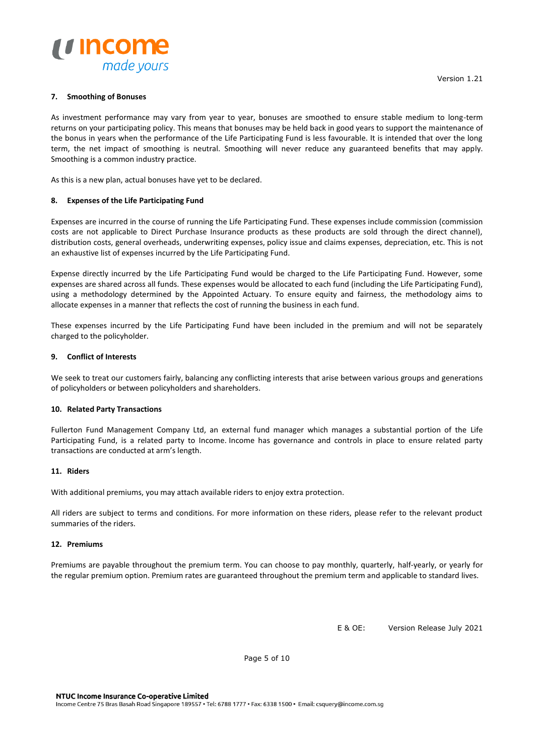

# **7. Smoothing of Bonuses**

As investment performance may vary from year to year, bonuses are smoothed to ensure stable medium to long-term returns on your participating policy. This means that bonuses may be held back in good years to support the maintenance of the bonus in years when the performance of the Life Participating Fund is less favourable. It is intended that over the long term, the net impact of smoothing is neutral. Smoothing will never reduce any guaranteed benefits that may apply. Smoothing is a common industry practice.

As this is a new plan, actual bonuses have yet to be declared.

# **8. Expenses of the Life Participating Fund**

Expenses are incurred in the course of running the Life Participating Fund. These expenses include commission (commission costs are not applicable to Direct Purchase Insurance products as these products are sold through the direct channel), distribution costs, general overheads, underwriting expenses, policy issue and claims expenses, depreciation, etc. This is not an exhaustive list of expenses incurred by the Life Participating Fund.

Expense directly incurred by the Life Participating Fund would be charged to the Life Participating Fund. However, some expenses are shared across all funds. These expenses would be allocated to each fund (including the Life Participating Fund), using a methodology determined by the Appointed Actuary. To ensure equity and fairness, the methodology aims to allocate expenses in a manner that reflects the cost of running the business in each fund.

These expenses incurred by the Life Participating Fund have been included in the premium and will not be separately charged to the policyholder.

#### **9. Conflict of Interests**

We seek to treat our customers fairly, balancing any conflicting interests that arise between various groups and generations of policyholders or between policyholders and shareholders.

# **10. Related Party Transactions**

Fullerton Fund Management Company Ltd, an external fund manager which manages a substantial portion of the Life Participating Fund, is a related party to Income. Income has governance and controls in place to ensure related party transactions are conducted at arm's length.

#### **11. Riders**

With additional premiums, you may attach available riders to enjoy extra protection.

All riders are subject to terms and conditions. For more information on these riders, please refer to the relevant product summaries of the riders.

#### **12. Premiums**

Premiums are payable throughout the premium term. You can choose to pay monthly, quarterly, half-yearly, or yearly for the regular premium option. Premium rates are guaranteed throughout the premium term and applicable to standard lives.

E & OE: Version Release July 2021

Page 5 of 10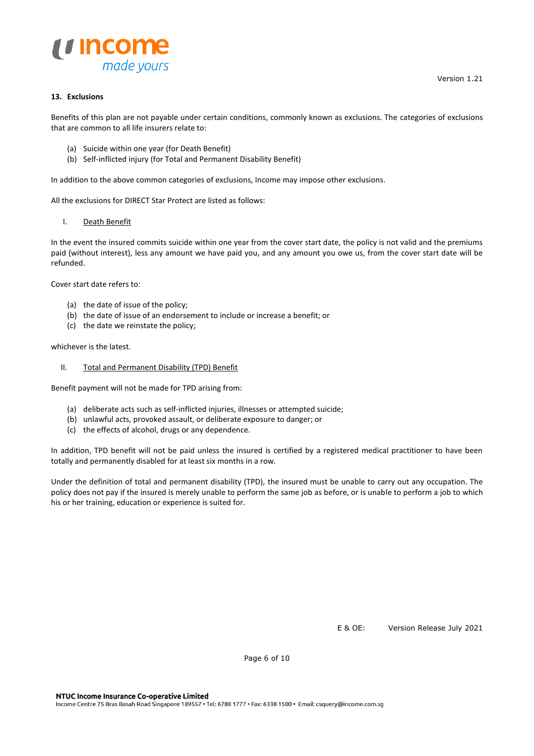

# **13. Exclusions**

Benefits of this plan are not payable under certain conditions, commonly known as exclusions. The categories of exclusions that are common to all life insurers relate to:

- (a) Suicide within one year (for Death Benefit)
- (b) Self-inflicted injury (for Total and Permanent Disability Benefit)

In addition to the above common categories of exclusions, Income may impose other exclusions.

All the exclusions for DIRECT Star Protect are listed as follows:

#### I. Death Benefit

In the event the insured commits suicide within one year from the cover start date, the policy is not valid and the premiums paid (without interest), less any amount we have paid you, and any amount you owe us, from the cover start date will be refunded.

Cover start date refers to:

- (a) the date of issue of the policy;
- (b) the date of issue of an endorsement to include or increase a benefit; or
- (c) the date we reinstate the policy;

whichever is the latest.

II. Total and Permanent Disability (TPD) Benefit

Benefit payment will not be made for TPD arising from:

- (a) deliberate acts such as self-inflicted injuries, illnesses or attempted suicide;
- (b) unlawful acts, provoked assault, or deliberate exposure to danger; or
- (c) the effects of alcohol, drugs or any dependence.

In addition, TPD benefit will not be paid unless the insured is certified by a registered medical practitioner to have been totally and permanently disabled for at least six months in a row.

Under the definition of total and permanent disability (TPD), the insured must be unable to carry out any occupation. The policy does not pay if the insured is merely unable to perform the same job as before, or is unable to perform a job to which his or her training, education or experience is suited for.

E & OE: Version Release July 2021

Page 6 of 10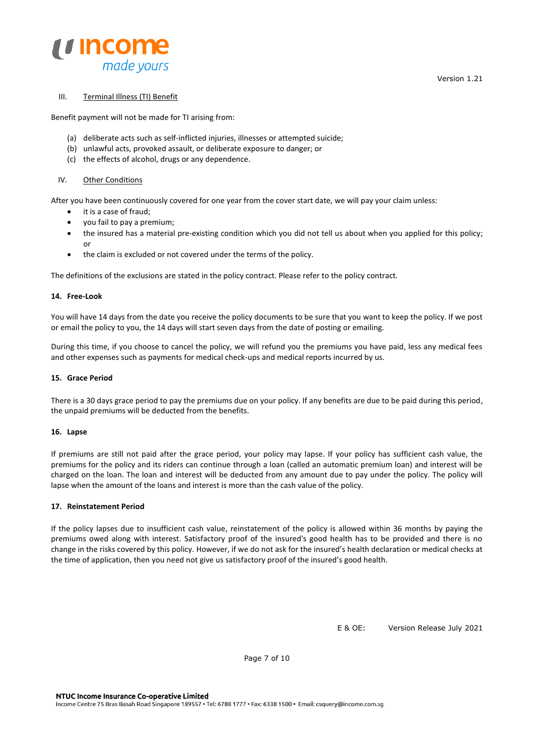

# III. Terminal Illness (TI) Benefit

Benefit payment will not be made for TI arising from:

- (a) deliberate acts such as self-inflicted injuries, illnesses or attempted suicide;
- (b) unlawful acts, provoked assault, or deliberate exposure to danger; or
- (c) the effects of alcohol, drugs or any dependence.

# IV. Other Conditions

After you have been continuously covered for one year from the cover start date, we will pay your claim unless:

- it is a case of fraud;
- you fail to pay a premium;
- the insured has a material pre-existing condition which you did not tell us about when you applied for this policy; or
- the claim is excluded or not covered under the terms of the policy.

The definitions of the exclusions are stated in the policy contract. Please refer to the policy contract.

# **14. Free-Look**

You will have 14 days from the date you receive the policy documents to be sure that you want to keep the policy. If we post or email the policy to you, the 14 days will start seven days from the date of posting or emailing.

During this time, if you choose to cancel the policy, we will refund you the premiums you have paid, less any medical fees and other expenses such as payments for medical check-ups and medical reports incurred by us.

# **15. Grace Period**

There is a 30 days grace period to pay the premiums due on your policy. If any benefits are due to be paid during this period, the unpaid premiums will be deducted from the benefits.

# **16. Lapse**

If premiums are still not paid after the grace period, your policy may lapse. If your policy has sufficient cash value, the premiums for the policy and its riders can continue through a loan (called an automatic premium loan) and interest will be charged on the loan. The loan and interest will be deducted from any amount due to pay under the policy. The policy will lapse when the amount of the loans and interest is more than the cash value of the policy.

# **17. Reinstatement Period**

If the policy lapses due to insufficient cash value, reinstatement of the policy is allowed within 36 months by paying the premiums owed along with interest. Satisfactory proof of the insured's good health has to be provided and there is no change in the risks covered by this policy. However, if we do not ask for the insured's health declaration or medical checks at the time of application, then you need not give us satisfactory proof of the insured's good health.

E & OE: Version Release July 2021

Page 7 of 10

Version 1.21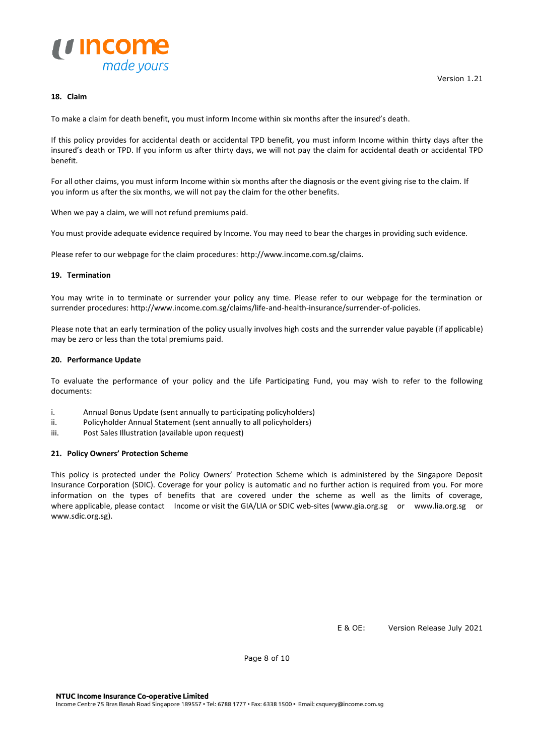

# **18. Claim**

To make a claim for death benefit, you must inform Income within six months after the insured's death.

If this policy provides for accidental death or accidental TPD benefit, you must inform Income within thirty days after the insured's death or TPD. If you inform us after thirty days, we will not pay the claim for accidental death or accidental TPD benefit.

For all other claims, you must inform Income within six months after the diagnosis or the event giving rise to the claim. If you inform us after the six months, we will not pay the claim for the other benefits.

When we pay a claim, we will not refund premiums paid.

You must provide adequate evidence required by Income. You may need to bear the charges in providing such evidence.

Please refer to our webpage for the claim procedures[: http://www.income.com.sg/claims.](http://www.income.com.sg/claims)

#### **19. Termination**

You may write in to terminate or surrender your policy any time. Please refer to our webpage for the termination or surrender procedures: http://www.income.com.sg/claims/life-and-health-insurance/surrender-of-policies.

Please note that an early termination of the policy usually involves high costs and the surrender value payable (if applicable) may be zero or less than the total premiums paid.

#### **20. Performance Update**

To evaluate the performance of your policy and the Life Participating Fund, you may wish to refer to the following documents:

- i. Annual Bonus Update (sent annually to participating policyholders)
- ii. Policyholder Annual Statement (sent annually to all policyholders)
- iii. Post Sales Illustration (available upon request)

#### **21. Policy Owners' Protection Scheme**

This policy is protected under the Policy Owners' Protection Scheme which is administered by the Singapore Deposit Insurance Corporation (SDIC). Coverage for your policy is automatic and no further action is required from you. For more information on the types of benefits that are covered under the scheme as well as the limits of coverage, where applicable, please contact Income or visit the GIA/LIA or SDIC web-sites (www.gia.org.sg or www.lia.org.sg or www.sdic.org.sg).

E & OE: Version Release July 2021

Page 8 of 10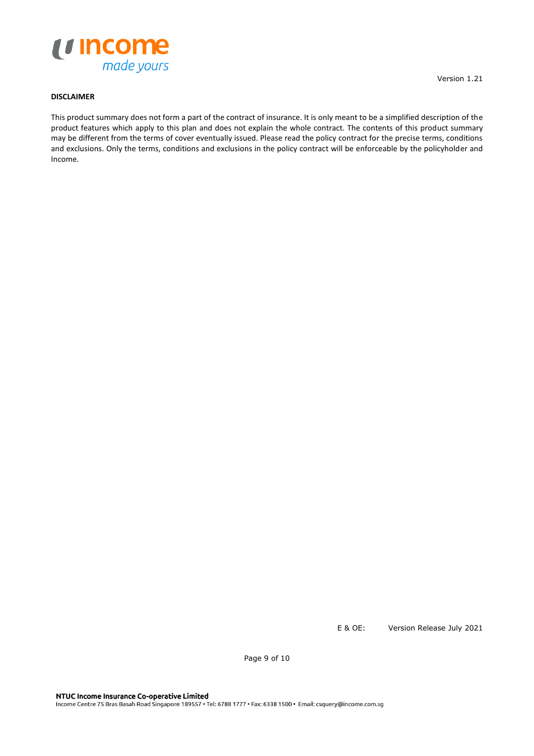

# **DISCLAIMER**

This product summary does not form a part of the contract of insurance. It is only meant to be a simplified description of the product features which apply to this plan and does not explain the whole contract. The contents of this product summary may be different from the terms of cover eventually issued. Please read the policy contract for the precise terms, conditions and exclusions. Only the terms, conditions and exclusions in the policy contract will be enforceable by the policyholder and Income.

E & OE: Version Release July 2021

Page 9 of 10

Version 1.21